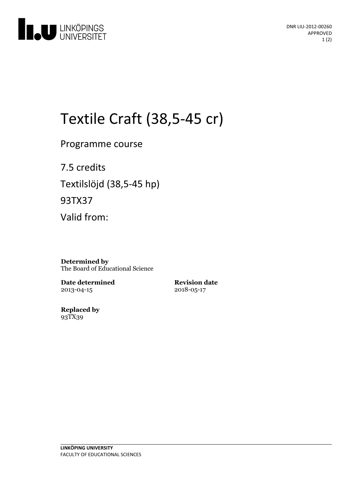

# Textile Craft (38,5-45 cr)

Programme course

7.5 credits Textilslöjd (38,5-45 hp) 93TX37

Valid from:

**Determined by** The Board of Educational Science

**Date determined** 2013-04-15

**Revision date** 2018-05-17

**Replaced by** 93TX39